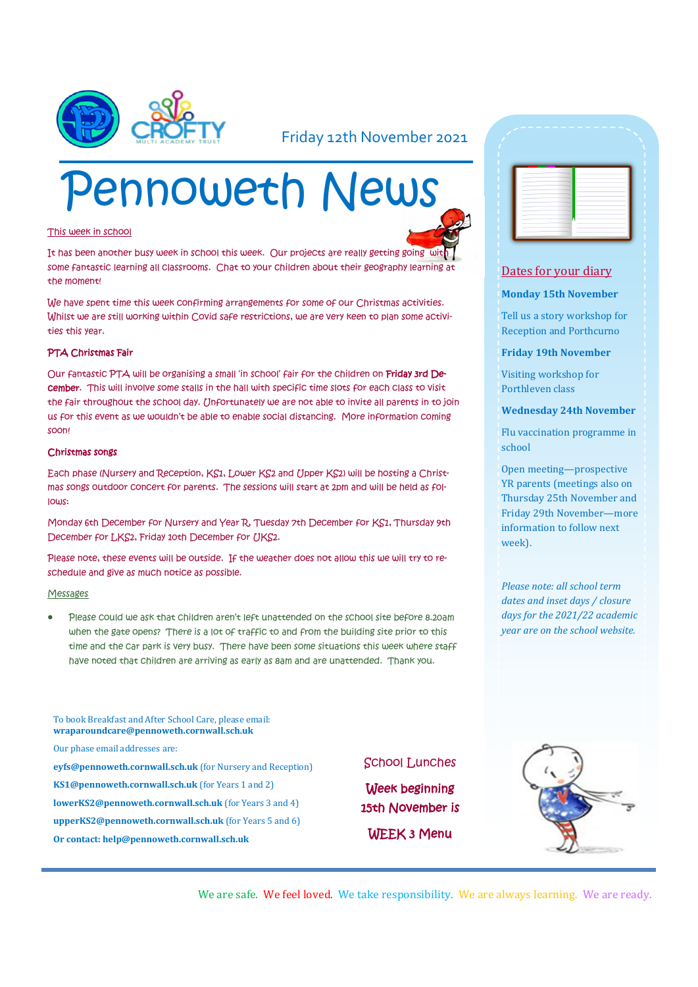

### Friday 12th November 2021

# Pennoweth News

#### This week in school

It has been another busy week in school this week. Our projects are really getting going with some fantastic learning all classrooms. Chat to your children about their geography learning at the moment!

We have spent time this week confirming arrangements for some of our Christmas activities. Whilst we are still working within Covid safe restrictions, we are very keen to plan some activities this year.

#### PTA Christmas Fair

Our fantastic PTA will be organising a small 'in school' fair for the children on Friday 3rd December. This will involve some stalls in the hall with specific time slots for each class to visit the fair throughout the school day. Unfortunately we are not able to invite all parents in to join us for this event as we wouldn't be able to enable social distancing. More information coming soon!

#### Christmas songs

Each phase (Nursery and Reception, KS1, Lower KS2 and Upper KS2) will be hosting a Christmas songs outdoor concert for parents. The sessions will start at 2pm and will be held as follows:

Monday 6th December for Nursery and Year R, Tuesday 7th December for KS1, Thursday 9th December for LKS2, Friday 10th December for UKS2.

Please note, these events will be outside. If the weather does not allow this we will try to reschedule and give as much notice as possible.

#### **Messages**

 Please could we ask that children aren't left unattended on the school site before 8.20am when the gate opens? There is a lot of traffic to and from the building site prior to this time and the car park is very busy. There have been some situations this week where staff have noted that children are arriving as early as 8am and are unattended. Thank you.

To book Breakfast and After School Care, please email: **wraparoundcare@pennoweth.cornwall.sch.uk** Our phase email addresses are: **eyfs@pennoweth.cornwall.sch.uk** (for Nursery and Reception) **KS1@pennoweth.cornwall.sch.uk** (for Years 1 and 2) **lowerKS2@pennoweth.cornwall.sch.uk** (for Years 3 and 4) **upperKS2@pennoweth.cornwall.sch.uk** (for Years 5 and 6) **Or contact: help@pennoweth.cornwall.sch.uk**

#### School Lunches

Week beginning 15th November is WEEK 3 Menu



#### Dates for your diary

#### **Monday 15th November**

Tell us a story workshop for Reception and Porthcurno

**Friday 19th November**

Visiting workshop for Porthleven class

**Wednesday 24th November**

Flu vaccination programme in school

Open meeting—prospective YR parents (meetings also on Thursday 25th November and Friday 29th November—more information to follow next week).

*Please note: all school term dates and inset days / closure days for the 2021/22 academic year are on the school website.* 



We are safe. We feel loved. We take responsibility. We are always learning. We are ready.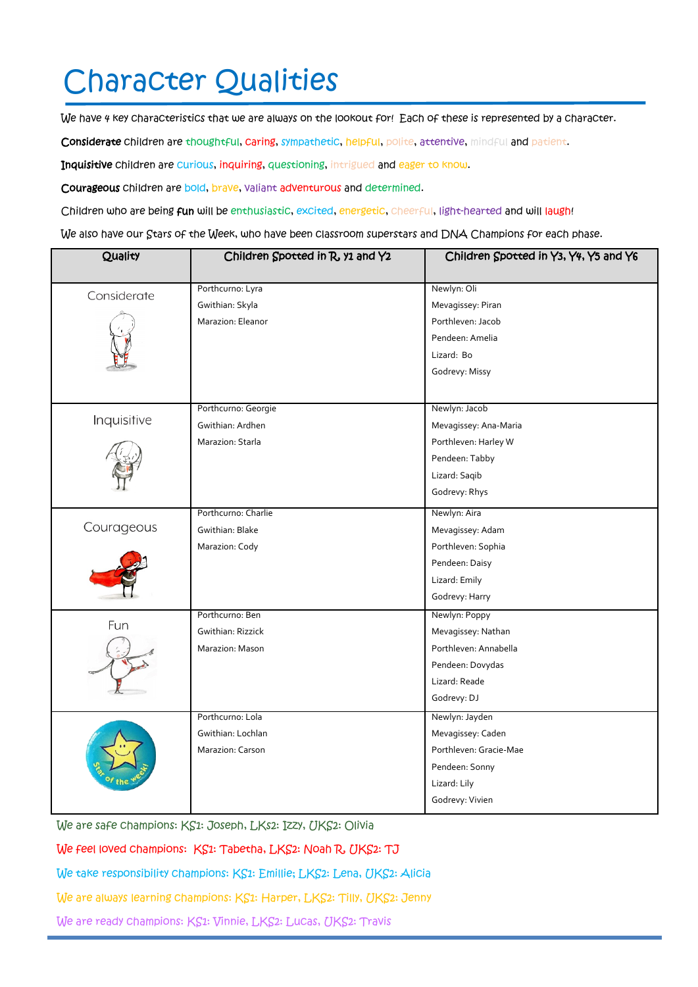# Character Qualities

We have 4 key characteristics that we are always on the lookout for! Each of these is represented by a character.

Considerate children are thoughtful, caring, sympathetic, helpful, polite, attentive, mindful and patient.

Inquisitive children are curious, inquiring, questioning, intrigued and eager to know.

Courageous children are bold, brave, valiant adventurous and determined.

Children who are being fun will be enthusiastic, excited, energetic, cheerful, light-hearted and will laugh!

We also have our Stars of the Week, who have been classroom superstars and DNA Champions for each phase.

| Quality     | Children Spotted in R, y1 and Y2 | Children Spotted in Y3, Y4, Y5 and Y6 |
|-------------|----------------------------------|---------------------------------------|
| Considerate | Porthcurno: Lyra                 | Newlyn: Oli                           |
|             | Gwithian: Skyla                  | Mevagissey: Piran                     |
|             | Marazion: Eleanor                | Porthleven: Jacob                     |
|             |                                  | Pendeen: Amelia                       |
|             |                                  | Lizard: Bo                            |
|             |                                  | Godrevy: Missy                        |
|             | Porthcurno: Georgie              | Newlyn: Jacob                         |
| Inquisitive | Gwithian: Ardhen                 | Mevagissey: Ana-Maria                 |
|             | Marazion: Starla                 | Porthleven: Harley W                  |
|             |                                  | Pendeen: Tabby                        |
|             |                                  | Lizard: Saqib                         |
|             |                                  | Godrevy: Rhys                         |
| Courageous  | Porthcurno: Charlie              | Newlyn: Aira                          |
|             | Gwithian: Blake                  | Mevagissey: Adam                      |
|             | Marazion: Cody                   | Porthleven: Sophia                    |
|             |                                  | Pendeen: Daisy                        |
|             |                                  | Lizard: Emily                         |
|             |                                  | Godrevy: Harry                        |
| Fun         | Porthcurno: Ben                  | Newlyn: Poppy                         |
|             | Gwithian: Rizzick                | Mevagissey: Nathan                    |
|             | Marazion: Mason                  | Porthleven: Annabella                 |
|             |                                  | Pendeen: Dovydas                      |
|             |                                  | Lizard: Reade                         |
|             |                                  | Godrevy: DJ                           |
|             | Porthcurno: Lola                 | Newlyn: Jayden                        |
|             | Gwithian: Lochlan                | Mevagissey: Caden                     |
|             | Marazion: Carson                 | Porthleven: Gracie-Mae                |
|             |                                  | Pendeen: Sonny                        |
|             |                                  | Lizard: Lily                          |
|             |                                  | Godrevy: Vivien                       |

We are safe champions: KS1: Joseph, LKs2: Izzy, UKS2: Olivia

We feel loved champions: KS1: Tabetha, LKS2: Noah R, UKS2: TJ

We take responsibility champions: KS1: Emillie; LKS2: Lena, UKS2: Alicia

We are always learning champions: KS1: Harper, LKS2: Tilly, UKS2: Jenny

We are ready champions: KS1: Vinnie, LKS2: Lucas, UKS2: Travis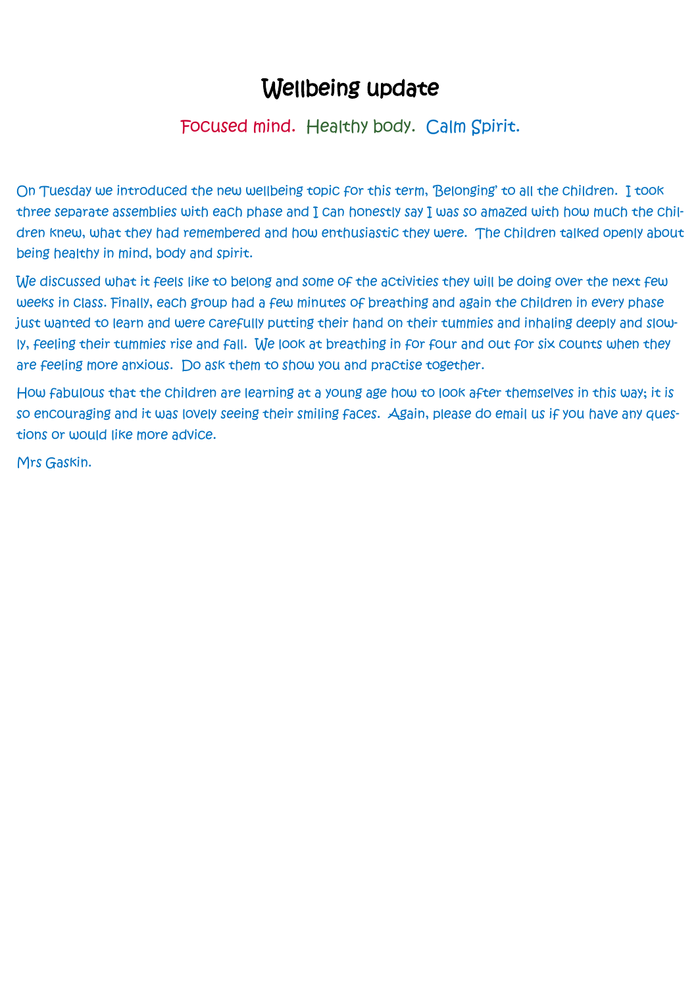## Wellbeing update

### Focused mind. Healthy body. Calm Spirit.

On Tuesday we introduced the new wellbeing topic for this term, 'Belonging' to all the children. I took three separate assemblies with each phase and I can honestly say I was so amazed with how much the children knew, what they had remembered and how enthusiastic they were. The children talked openly about being healthy in mind, body and spirit.

We discussed what it feels like to belong and some of the activities they will be doing over the next few weeks in class. Finally, each group had a few minutes of breathing and again the children in every phase just wanted to learn and were carefully putting their hand on their tummies and inhaling deeply and slowly, feeling their tummies rise and fall. We look at breathing in for four and out for six counts when they are feeling more anxious. Do ask them to show you and practise together.

How fabulous that the children are learning at a young age how to look after themselves in this way; it is so encouraging and it was lovely seeing their smiling faces. Again, please do email us if you have any questions or would like more advice.

Mrs Gaskin.